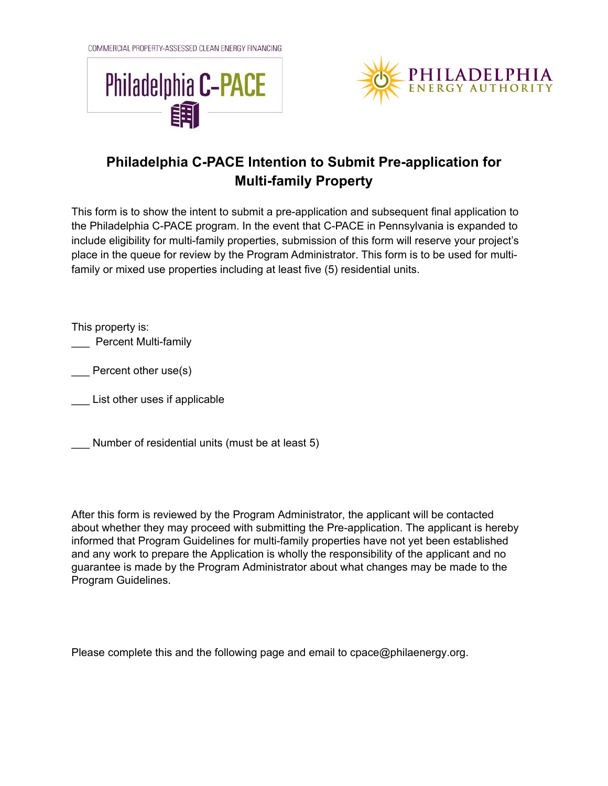COMMERCIAL PROPERTY-ASSESSED CLEAN ENERGY FINANCING





## **Philadelphia C-PACE Intention to Submit Pre-application for Multi-family Property**

This form is to show the intent to submit a pre-application and subsequent final application to the Philadelphia C-PACE program. In the event that C-PACE in Pennsylvania is expanded to include eligibility for multi-family properties, submission of this form will reserve your project's place in the queue for review by the Program Administrator. This form is to be used for multifamily or mixed use properties including at least five (5) residential units.

This property is:

\_\_\_ Percent Multi-family

\_\_\_ Percent other use(s)

\_\_\_ List other uses if applicable

Number of residential units (must be at least 5)

After this form is reviewed by the Program Administrator, the applicant will be contacted about whether they may proceed with submitting the Pre-application. The applicant is hereby informed that Program Guidelines for multi-family properties have not yet been established and any work to prepare the Application is wholly the responsibility of the applicant and no guarantee is made by the Program Administrator about what changes may be made to the Program Guidelines.

Please complete this and the following page and email to cpace@philaenergy.org.